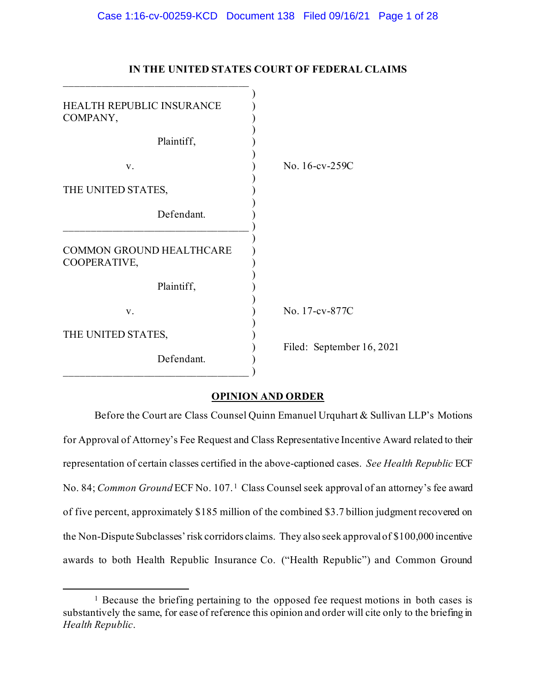| <b>HEALTH REPUBLIC INSURANCE</b><br>COMPANY, |                           |
|----------------------------------------------|---------------------------|
| Plaintiff,                                   |                           |
| V.                                           | No. 16-cv-259C            |
| THE UNITED STATES,                           |                           |
| Defendant.                                   |                           |
| COMMON GROUND HEALTHCARE<br>COOPERATIVE,     |                           |
| Plaintiff,                                   |                           |
| V.                                           | No. 17-cv-877C            |
| THE UNITED STATES,                           |                           |
| Defendant.                                   | Filed: September 16, 2021 |

# **IN THE UNITED STATES COURT OF FEDERAL CLAIMS**

## **OPINION AND ORDER**

Before the Court are Class Counsel Quinn Emanuel Urquhart & Sullivan LLP's Motions for Approval of Attorney's Fee Request and Class Representative Incentive Award related to their representation of certain classes certified in the above-captioned cases. *See Health Republic* ECF No. 84; *Common Ground* ECF No. 107.<sup>1</sup> Class Counsel seek approval of an attorney's fee award of five percent, approximately \$185 million of the combined \$3.7 billion judgment recovered on the Non-Dispute Subclasses' risk corridors claims. They also seek approval of \$100,000 incentive awards to both Health Republic Insurance Co. ("Health Republic") and Common Ground

<sup>&</sup>lt;sup>1</sup> Because the briefing pertaining to the opposed fee request motions in both cases is substantively the same, for ease of reference this opinion and order will cite only to the briefing in *Health Republic*.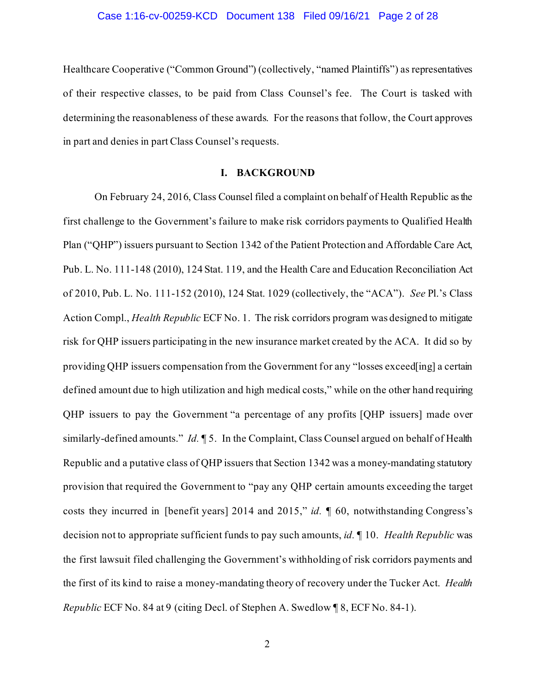Healthcare Cooperative ("Common Ground") (collectively, "named Plaintiffs") as representatives of their respective classes, to be paid from Class Counsel's fee. The Court is tasked with determining the reasonableness of these awards. For the reasons that follow, the Court approves in part and denies in part Class Counsel's requests.

## **I. BACKGROUND**

On February 24, 2016, Class Counsel filed a complaint on behalf of Health Republic as the first challenge to the Government's failure to make risk corridors payments to Qualified Health Plan ("QHP") issuers pursuant to Section 1342 of the Patient Protection and Affordable Care Act, Pub. L. No. 111-148 (2010), 124 Stat. 119, and the Health Care and Education Reconciliation Act of 2010, Pub. L. No. 111-152 (2010), 124 Stat. 1029 (collectively, the "ACA"). *See* Pl.'s Class Action Compl., *Health Republic* ECF No. 1. The risk corridors program was designed to mitigate risk for QHP issuers participating in the new insurance market created by the ACA. It did so by providing QHP issuers compensation from the Government for any "losses exceed[ing] a certain defined amount due to high utilization and high medical costs," while on the other hand requiring QHP issuers to pay the Government "a percentage of any profits [QHP issuers] made over similarly-defined amounts." *Id.* ¶ 5. In the Complaint, Class Counsel argued on behalf of Health Republic and a putative class of QHP issuers that Section 1342 was a money-mandating statutory provision that required the Government to "pay any QHP certain amounts exceeding the target costs they incurred in [benefit years] 2014 and 2015," *id.* ¶ 60, notwithstanding Congress's decision not to appropriate sufficient funds to pay such amounts, *id.* ¶ 10. *Health Republic* was the first lawsuit filed challenging the Government's withholding of risk corridors payments and the first of its kind to raise a money-mandating theory of recovery under the Tucker Act. *Health Republic* ECF No. 84 at 9 (citing Decl. of Stephen A. Swedlow ¶ 8, ECF No. 84-1).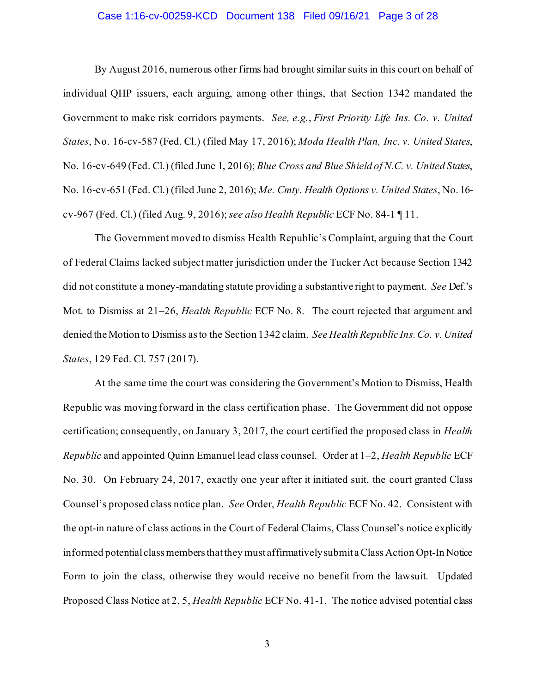## Case 1:16-cv-00259-KCD Document 138 Filed 09/16/21 Page 3 of 28

By August 2016, numerous other firms had brought similar suits in this court on behalf of individual QHP issuers, each arguing, among other things, that Section 1342 mandated the Government to make risk corridors payments. *See, e.g.*, *First Priority Life Ins. Co. v. United States*, No. 16-cv-587 (Fed. Cl.) (filed May 17, 2016); *Moda Health Plan, Inc. v. United States*, No. 16-cv-649 (Fed. Cl.) (filed June 1, 2016); *Blue Cross and Blue Shield of N.C. v. United States*, No. 16-cv-651 (Fed. Cl.) (filed June 2, 2016); *Me. Cmty. Health Options v. United States*, No. 16 cv-967 (Fed. Cl.) (filed Aug. 9, 2016); *see also Health Republic* ECF No. 84-1 ¶ 11.

The Government moved to dismiss Health Republic's Complaint, arguing that the Court of Federal Claims lacked subject matter jurisdiction under the Tucker Act because Section 1342 did not constitute a money-mandating statute providing a substantive right to payment. *See* Def.'s Mot. to Dismiss at 21–26, *Health Republic* ECF No. 8. The court rejected that argument and denied the Motion to Dismiss as to the Section 1342 claim. *See Health Republic Ins. Co. v. United States*, 129 Fed. Cl. 757 (2017).

At the same time the court was considering the Government's Motion to Dismiss, Health Republic was moving forward in the class certification phase. The Government did not oppose certification; consequently, on January 3, 2017, the court certified the proposed class in *Health Republic* and appointed Quinn Emanuel lead class counsel. Order at 1–2, *Health Republic* ECF No. 30. On February 24, 2017, exactly one year after it initiated suit, the court granted Class Counsel's proposed class notice plan. *See* Order, *Health Republic* ECF No. 42. Consistent with the opt-in nature of class actions in the Court of Federal Claims, Class Counsel's notice explicitly informed potential class members that they must affirmatively submit a Class Action Opt-In Notice Form to join the class, otherwise they would receive no benefit from the lawsuit. Updated Proposed Class Notice at 2, 5, *Health Republic* ECF No. 41-1. The notice advised potential class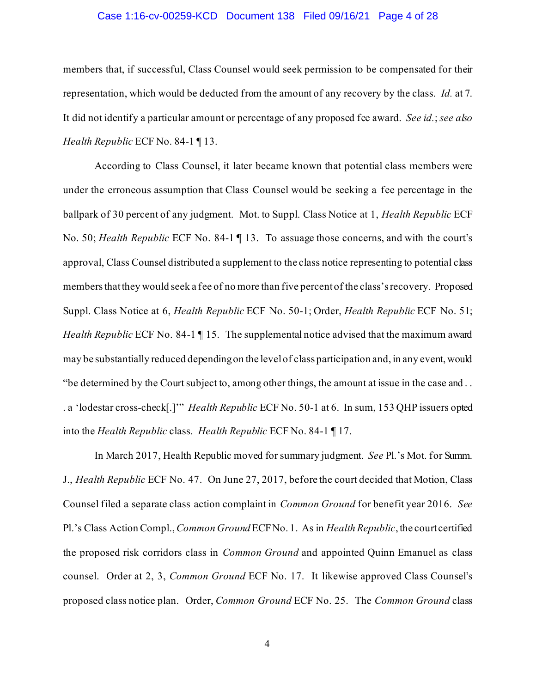## Case 1:16-cv-00259-KCD Document 138 Filed 09/16/21 Page 4 of 28

members that, if successful, Class Counsel would seek permission to be compensated for their representation, which would be deducted from the amount of any recovery by the class. *Id.* at 7. It did not identify a particular amount or percentage of any proposed fee award. *See id.*; *see also Health Republic* ECF No. 84-1 ¶ 13.

According to Class Counsel, it later became known that potential class members were under the erroneous assumption that Class Counsel would be seeking a fee percentage in the ballpark of 30 percent of any judgment. Mot. to Suppl. Class Notice at 1, *Health Republic* ECF No. 50; *Health Republic* ECF No. 84-1 ¶ 13. To assuage those concerns, and with the court's approval, Class Counsel distributed a supplement to the class notice representing to potential class members that they would seek a fee of no more than five percent of the class's recovery. Proposed Suppl. Class Notice at 6, *Health Republic* ECF No. 50-1; Order, *Health Republic* ECF No. 51; *Health Republic* ECF No. 84-1 ¶ 15. The supplemental notice advised that the maximum award may be substantially reduced depending on the level of class participation and, in any event, would "be determined by the Court subject to, among other things, the amount at issue in the case and . . . a 'lodestar cross-check[.]'" *Health Republic* ECF No. 50-1 at 6. In sum, 153 QHP issuers opted into the *Health Republic* class. *Health Republic* ECF No. 84-1 ¶ 17.

In March 2017, Health Republic moved for summary judgment. *See* Pl.'s Mot. for Summ. J., *Health Republic* ECF No. 47. On June 27, 2017, before the court decided that Motion, Class Counsel filed a separate class action complaint in *Common Ground* for benefit year 2016. *See*  Pl.'s Class Action Compl.,*Common Ground* ECF No. 1. As in *Health Republic*, the court certified the proposed risk corridors class in *Common Ground* and appointed Quinn Emanuel as class counsel. Order at 2, 3, *Common Ground* ECF No. 17. It likewise approved Class Counsel's proposed class notice plan. Order, *Common Ground* ECF No. 25. The *Common Ground* class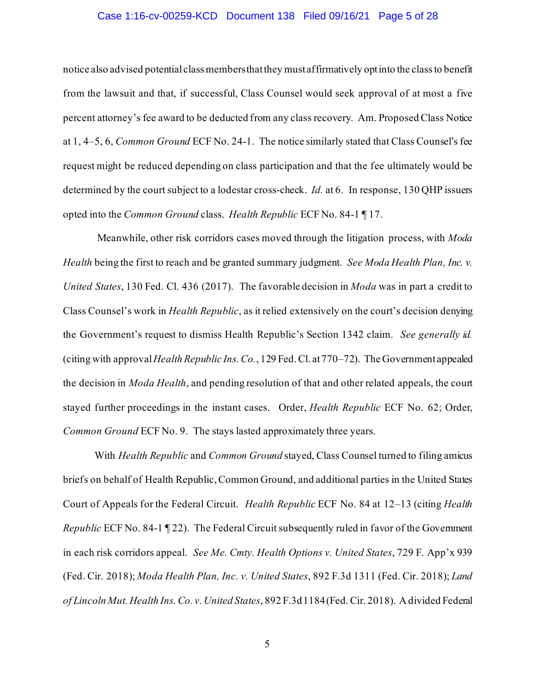## Case 1:16-cv-00259-KCD Document 138 Filed 09/16/21 Page 5 of 28

notice also advised potential class membersthat they must affirmatively optinto the classto benefit from the lawsuit and that, if successful, Class Counsel would seek approval of at most a five percent attorney's fee award to be deducted from any class recovery. Am. Proposed Class Notice at 1, 4–5, 6, *Common Ground* ECF No. 24-1. The notice similarly stated that Class Counsel's fee request might be reduced depending on class participation and that the fee ultimately would be determined by the court subject to a lodestar cross-check. *Id.* at 6. In response, 130 QHP issuers opted into the *Common Ground* class. *Health Republic* ECF No. 84-1 ¶ 17.

Meanwhile, other risk corridors cases moved through the litigation process, with *Moda Health* being the first to reach and be granted summary judgment. *See Moda Health Plan, Inc. v. United States*, 130 Fed. Cl. 436 (2017). The favorable decision in *Moda* was in part a credit to Class Counsel's work in *Health Republic*, as it relied extensively on the court's decision denying the Government's request to dismiss Health Republic's Section 1342 claim. *See generally id.* (citing with approval*Health Republic Ins. Co.*, 129 Fed. Cl. at 770–72).The Government appealed the decision in *Moda Health*, and pending resolution of that and other related appeals, the court stayed further proceedings in the instant cases. Order, *Health Republic* ECF No. 62; Order, *Common Ground* ECF No. 9. The stays lasted approximately three years.

With *Health Republic* and *Common Ground* stayed, Class Counsel turned to filing amicus briefs on behalf of Health Republic, Common Ground, and additional parties in the United States Court of Appeals for the Federal Circuit. *Health Republic* ECF No. 84 at 12–13 (citing *Health Republic ECF No.* 84-1 [22]. The Federal Circuit subsequently ruled in favor of the Government in each risk corridors appeal. *See Me. Cmty. Health Options v. United States*, 729 F. App'x 939 (Fed. Cir. 2018); *Moda Health Plan, Inc. v. United States*, 892 F.3d 1311 (Fed. Cir. 2018); *Land of Lincoln Mut. Health Ins. Co. v. United States*, 892 F.3d 1184 (Fed. Cir. 2018). A divided Federal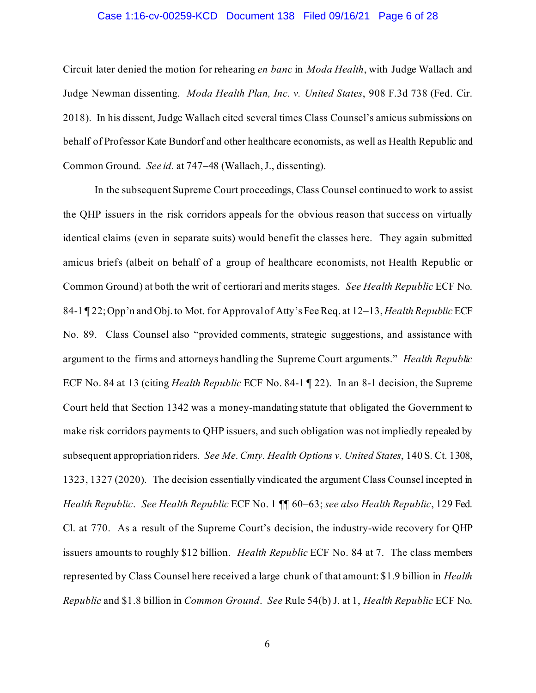## Case 1:16-cv-00259-KCD Document 138 Filed 09/16/21 Page 6 of 28

Circuit later denied the motion for rehearing *en banc* in *Moda Health*, with Judge Wallach and Judge Newman dissenting. *Moda Health Plan, Inc. v. United States*, 908 F.3d 738 (Fed. Cir. 2018). In his dissent, Judge Wallach cited several times Class Counsel's amicus submissions on behalf of Professor Kate Bundorf and other healthcare economists, as well as Health Republic and Common Ground. *See id.* at 747–48 (Wallach, J., dissenting).

In the subsequent Supreme Court proceedings, Class Counsel continued to work to assist the QHP issuers in the risk corridors appeals for the obvious reason that success on virtually identical claims (even in separate suits) would benefit the classes here. They again submitted amicus briefs (albeit on behalf of a group of healthcare economists, not Health Republic or Common Ground) at both the writ of certiorari and merits stages. *See Health Republic* ECF No. 84-1 ¶ 22; Opp'n and Obj. to Mot. forApproval of Atty's Fee Req. at 12–13, *Health Republic* ECF No. 89. Class Counsel also "provided comments, strategic suggestions, and assistance with argument to the firms and attorneys handling the Supreme Court arguments." *Health Republic* ECF No. 84 at 13 (citing *Health Republic* ECF No. 84-1 ¶ 22). In an 8-1 decision, the Supreme Court held that Section 1342 was a money-mandating statute that obligated the Government to make risk corridors payments to QHP issuers, and such obligation was not impliedly repealed by subsequent appropriation riders. *See Me. Cmty. Health Options v. United States*, 140 S. Ct. 1308, 1323, 1327 (2020). The decision essentially vindicated the argument Class Counsel incepted in *Health Republic*. *See Health Republic* ECF No. 1 ¶¶ 60–63;*see also Health Republic*, 129 Fed. Cl. at 770. As a result of the Supreme Court's decision, the industry-wide recovery for QHP issuers amounts to roughly \$12 billion. *Health Republic* ECF No. 84 at 7. The class members represented by Class Counsel here received a large chunk of that amount: \$1.9 billion in *Health Republic* and \$1.8 billion in *Common Ground*. *See* Rule 54(b) J. at 1, *Health Republic* ECF No.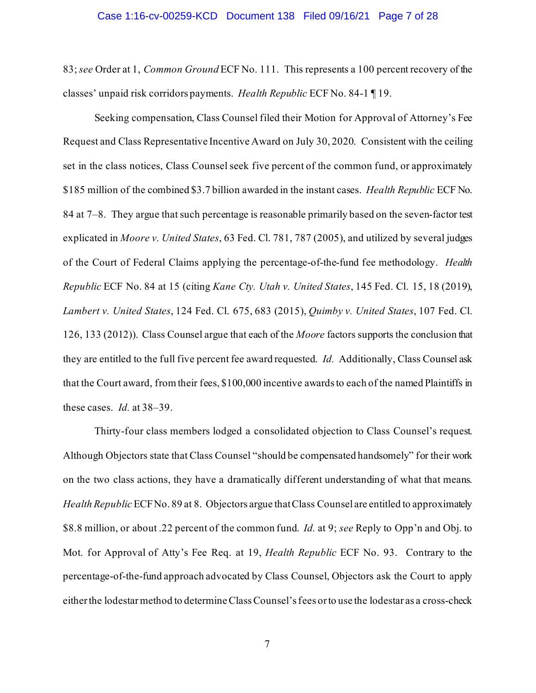#### Case 1:16-cv-00259-KCD Document 138 Filed 09/16/21 Page 7 of 28

83; *see* Order at 1, *Common Ground* ECF No. 111. This represents a 100 percent recovery of the classes' unpaid risk corridors payments. *Health Republic* ECF No. 84-1 ¶ 19.

Seeking compensation, Class Counsel filed their Motion for Approval of Attorney's Fee Request and Class Representative Incentive Award on July 30, 2020. Consistent with the ceiling set in the class notices, Class Counsel seek five percent of the common fund, or approximately \$185 million of the combined \$3.7 billion awarded in the instant cases. *Health Republic* ECF No. 84 at 7–8. They argue that such percentage is reasonable primarily based on the seven-factor test explicated in *Moore v. United States*, 63 Fed. Cl. 781, 787 (2005), and utilized by several judges of the Court of Federal Claims applying the percentage-of-the-fund fee methodology. *Health Republic* ECF No. 84 at 15 (citing *Kane Cty. Utah v. United States*, 145 Fed. Cl. 15, 18 (2019), *Lambert v. United States*, 124 Fed. Cl. 675, 683 (2015), *Quimby v. United States*, 107 Fed. Cl. 126, 133 (2012)). Class Counsel argue that each of the *Moore* factors supports the conclusion that they are entitled to the full five percent fee award requested. *Id.* Additionally, Class Counsel ask that the Court award, from their fees, \$100,000 incentive awardsto each of the named Plaintiffs in these cases. *Id.* at 38–39.

Thirty-four class members lodged a consolidated objection to Class Counsel's request. Although Objectors state that Class Counsel "should be compensated handsomely" for their work on the two class actions, they have a dramatically different understanding of what that means. *Health Republic* ECF No. 89 at 8. Objectors argue that Class Counsel are entitled to approximately \$8.8 million, or about .22 percent of the common fund. *Id.* at 9; *see* Reply to Opp'n and Obj. to Mot. for Approval of Atty's Fee Req. at 19, *Health Republic* ECF No. 93. Contrary to the percentage-of-the-fund approach advocated by Class Counsel, Objectors ask the Court to apply eitherthe lodestar method to determineClass Counsel's fees or to use the lodestar as a cross-check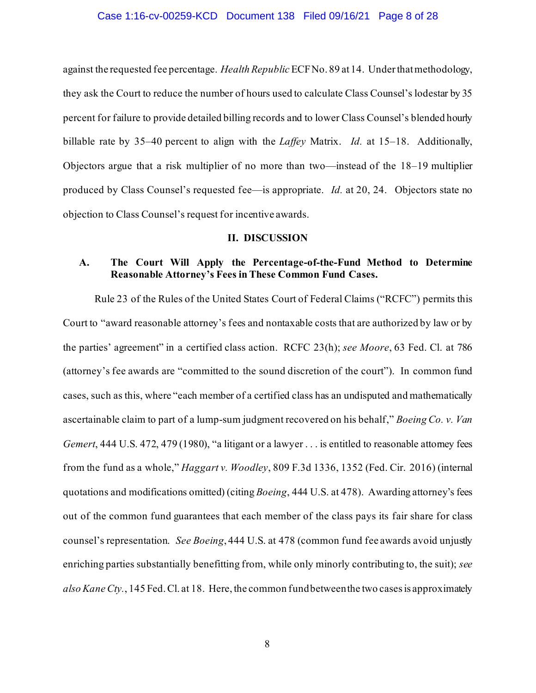### Case 1:16-cv-00259-KCD Document 138 Filed 09/16/21 Page 8 of 28

against the requested fee percentage. *Health Republic* ECF No. 89 at 14. Under that methodology, they ask the Court to reduce the number of hours used to calculate Class Counsel's lodestar by 35 percent for failure to provide detailed billing records and to lower Class Counsel's blended hourly billable rate by 35–40 percent to align with the *Laffey* Matrix. *Id.* at 15–18. Additionally, Objectors argue that a risk multiplier of no more than two—instead of the 18–19 multiplier produced by Class Counsel's requested fee—is appropriate. *Id.* at 20, 24. Objectors state no objection to Class Counsel's request for incentive awards.

#### **II. DISCUSSION**

# **A. The Court Will Apply the Percentage-of-the-Fund Method to Determine Reasonable Attorney's Fees in These Common Fund Cases.**

Rule 23 of the Rules of the United States Court of Federal Claims ("RCFC") permits this Court to "award reasonable attorney's fees and nontaxable costs that are authorized by law or by the parties' agreement" in a certified class action. RCFC 23(h); *see Moore*, 63 Fed. Cl. at 786 (attorney's fee awards are "committed to the sound discretion of the court"). In common fund cases, such as this, where "each member of a certified class has an undisputed and mathematically ascertainable claim to part of a lump-sum judgment recovered on his behalf," *Boeing Co. v. Van Gemert*, 444 U.S. 472, 479 (1980), "a litigant or a lawyer . . . is entitled to reasonable attorney fees from the fund as a whole," *Haggart v. Woodley*, 809 F.3d 1336, 1352 (Fed. Cir. 2016) (internal quotations and modifications omitted) (citing *Boeing*, 444 U.S. at 478). Awarding attorney's fees out of the common fund guarantees that each member of the class pays its fair share for class counsel's representation. *See Boeing*, 444 U.S. at 478 (common fund fee awards avoid unjustly enriching parties substantially benefitting from, while only minorly contributing to, the suit); *see alsoKane Cty.*, 145 Fed. Cl. at 18. Here, the common fund between the two casesis approximately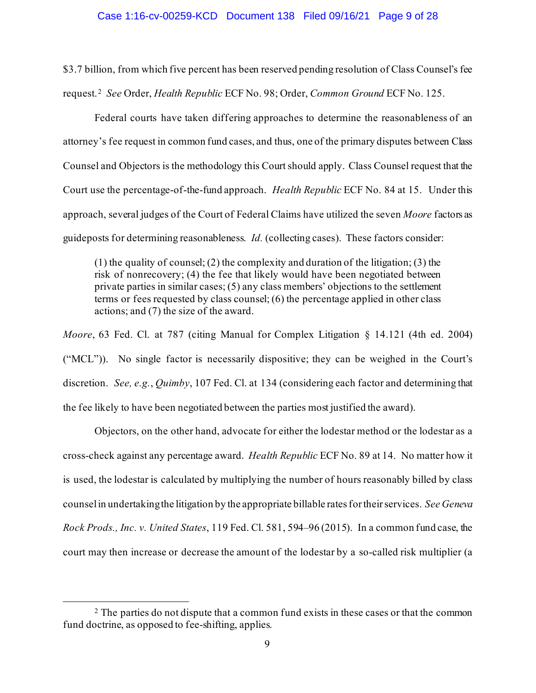#### Case 1:16-cv-00259-KCD Document 138 Filed 09/16/21 Page 9 of 28

\$3.7 billion, from which five percent has been reserved pending resolution of Class Counsel's fee request. 2 *See* Order, *Health Republic* ECF No. 98; Order, *Common Ground* ECF No. 125.

Federal courts have taken differing approaches to determine the reasonableness of an attorney's fee request in common fund cases, and thus, one of the primary disputes between Class Counsel and Objectors is the methodology this Court should apply. Class Counsel request that the Court use the percentage-of-the-fund approach. *Health Republic* ECF No. 84 at 15. Under this approach, several judges of the Court of Federal Claims have utilized the seven *Moore* factors as guideposts for determining reasonableness. *Id.* (collecting cases). These factors consider:

 $(1)$  the quality of counsel;  $(2)$  the complexity and duration of the litigation;  $(3)$  the risk of nonrecovery; (4) the fee that likely would have been negotiated between private parties in similar cases; (5) any class members' objections to the settlement terms or fees requested by class counsel; (6) the percentage applied in other class actions; and (7) the size of the award.

*Moore*, 63 Fed. Cl. at 787 (citing Manual for Complex Litigation § 14.121 (4th ed. 2004) ("MCL")). No single factor is necessarily dispositive; they can be weighed in the Court's discretion. *See, e.g.*, *Quimby*, 107 Fed. Cl. at 134 (considering each factor and determining that the fee likely to have been negotiated between the parties most justified the award).

Objectors, on the other hand, advocate for either the lodestar method or the lodestar as a cross-check against any percentage award. *Health Republic* ECF No. 89 at 14. No matter how it is used, the lodestar is calculated by multiplying the number of hours reasonably billed by class counselin undertaking the litigation by the appropriate billable ratesfor their services. *See Geneva Rock Prods., Inc. v. United States*, 119 Fed. Cl. 581, 594–96 (2015). In a common fund case, the court may then increase or decrease the amount of the lodestar by a so-called risk multiplier (a

<sup>&</sup>lt;sup>2</sup> The parties do not dispute that a common fund exists in these cases or that the common fund doctrine, as opposed to fee-shifting, applies.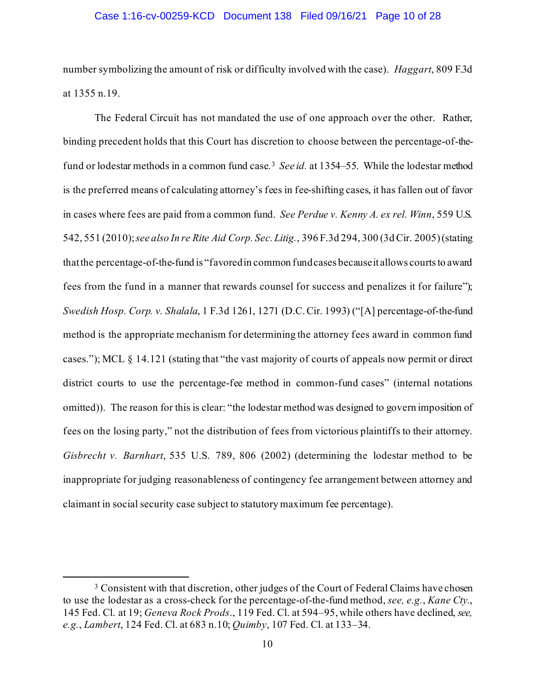## Case 1:16-cv-00259-KCD Document 138 Filed 09/16/21 Page 10 of 28

number symbolizing the amount of risk or difficulty involved with the case). *Haggart*, 809 F.3d at 1355 n.19.

The Federal Circuit has not mandated the use of one approach over the other. Rather, binding precedent holds that this Court has discretion to choose between the percentage-of-thefund or lodestar methods in a common fund case.3 *See id.* at 1354–55. While the lodestar method is the preferred means of calculating attorney's fees in fee-shifting cases, it has fallen out of favor in cases where fees are paid from a common fund. *See Perdue v. Kenny A. ex rel. Winn*, 559 U.S. 542, 551 (2010); *see also In re Rite Aid Corp. Sec. Litig.*, 396 F.3d 294, 300 (3d Cir. 2005) (stating that the percentage-of-the-fund is "favored in common fund cases because it allows courts to award fees from the fund in a manner that rewards counsel for success and penalizes it for failure"); *Swedish Hosp. Corp. v. Shalala*, 1 F.3d 1261, 1271 (D.C. Cir. 1993) ("[A] percentage-of-the-fund method is the appropriate mechanism for determining the attorney fees award in common fund cases."); MCL § 14.121 (stating that "the vast majority of courts of appeals now permit or direct district courts to use the percentage-fee method in common-fund cases" (internal notations omitted)). The reason for this is clear: "the lodestar method was designed to govern imposition of fees on the losing party," not the distribution of fees from victorious plaintiffs to their attorney. *Gisbrecht v. Barnhart*, 535 U.S. 789, 806 (2002) (determining the lodestar method to be inappropriate for judging reasonableness of contingency fee arrangement between attorney and claimant in social security case subject to statutory maximum fee percentage).

<sup>&</sup>lt;sup>3</sup> Consistent with that discretion, other judges of the Court of Federal Claims have chosen to use the lodestar as a cross-check for the percentage-of-the-fund method, *see, e.g.*, *Kane Cty.*, 145 Fed. Cl. at 19; *Geneva Rock Prods*., 119 Fed. Cl. at 594–95, while others have declined, *see, e.g.*, *Lambert*, 124 Fed. Cl. at 683 n.10; *Quimby*, 107 Fed. Cl. at 133–34.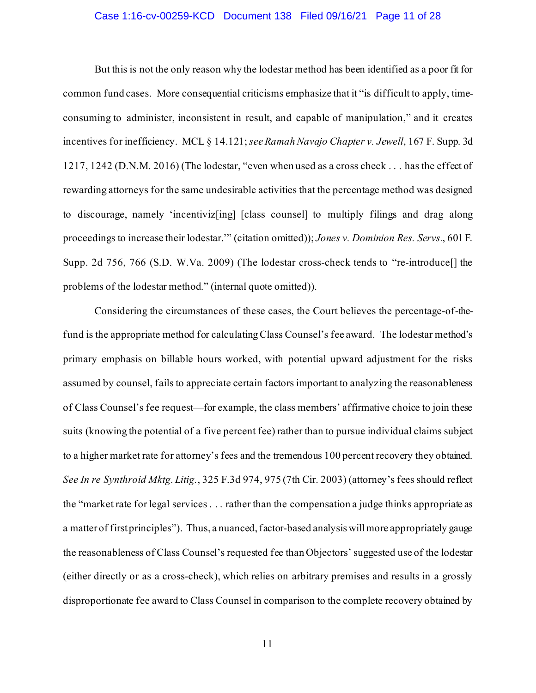## Case 1:16-cv-00259-KCD Document 138 Filed 09/16/21 Page 11 of 28

But this is not the only reason why the lodestar method has been identified as a poor fit for common fund cases. More consequential criticisms emphasize that it "is difficult to apply, timeconsuming to administer, inconsistent in result, and capable of manipulation," and it creates incentives for inefficiency. MCL § 14.121; *see Ramah Navajo Chapter v. Jewell*, 167 F. Supp. 3d 1217, 1242 (D.N.M. 2016) (The lodestar, "even when used as a cross check . . . has the effect of rewarding attorneys for the same undesirable activities that the percentage method was designed to discourage, namely 'incentiviz[ing] [class counsel] to multiply filings and drag along proceedings to increase their lodestar.'" (citation omitted)); *Jones v. Dominion Res. Servs.*, 601 F. Supp. 2d 756, 766 (S.D. W.Va. 2009) (The lodestar cross-check tends to "re-introduce[] the problems of the lodestar method." (internal quote omitted)).

Considering the circumstances of these cases, the Court believes the percentage-of-thefund is the appropriate method for calculating Class Counsel's fee award. The lodestar method's primary emphasis on billable hours worked, with potential upward adjustment for the risks assumed by counsel, fails to appreciate certain factors important to analyzing the reasonableness of Class Counsel's fee request—for example, the class members' affirmative choice to join these suits (knowing the potential of a five percent fee) rather than to pursue individual claims subject to a higher market rate for attorney's fees and the tremendous 100 percent recovery they obtained. *See In re Synthroid Mktg. Litig.*, 325 F.3d 974, 975 (7th Cir. 2003) (attorney's fees should reflect the "market rate for legal services . . . rather than the compensation a judge thinks appropriate as a matter of first principles"). Thus, a nuanced, factor-based analysis will more appropriately gauge the reasonableness of Class Counsel's requested fee than Objectors' suggested use of the lodestar (either directly or as a cross-check), which relies on arbitrary premises and results in a grossly disproportionate fee award to Class Counsel in comparison to the complete recovery obtained by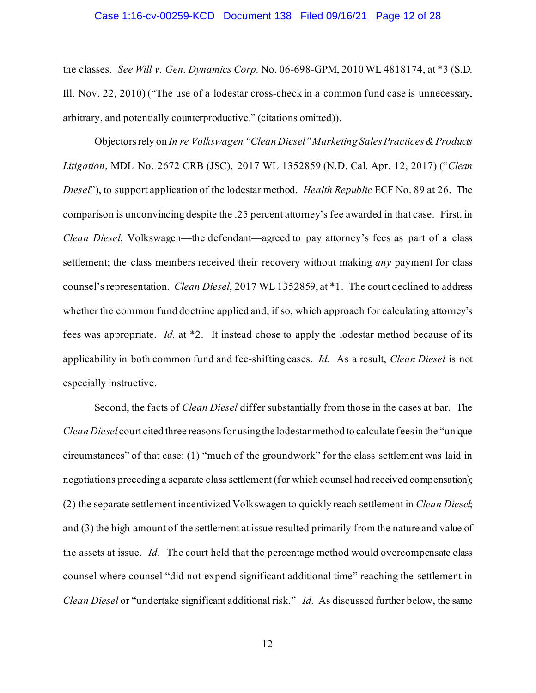#### Case 1:16-cv-00259-KCD Document 138 Filed 09/16/21 Page 12 of 28

the classes. *See Will v. Gen. Dynamics Corp.* No. 06-698-GPM, 2010 WL 4818174, at \*3 (S.D. Ill. Nov. 22, 2010) ("The use of a lodestar cross-check in a common fund case is unnecessary, arbitrary, and potentially counterproductive." (citations omitted)).

Objectors rely on *In re Volkswagen "Clean Diesel" Marketing Sales Practices & Products Litigation*, MDL No. 2672 CRB (JSC), 2017 WL 1352859 (N.D. Cal. Apr. 12, 2017) ("*Clean Diesel*"), to support application of the lodestar method. *Health Republic* ECF No. 89 at 26. The comparison is unconvincing despite the .25 percent attorney's fee awarded in that case. First, in *Clean Diesel*, Volkswagen—the defendant—agreed to pay attorney's fees as part of a class settlement; the class members received their recovery without making *any* payment for class counsel's representation. *Clean Diesel*, 2017 WL 1352859, at \*1. The court declined to address whether the common fund doctrine applied and, if so, which approach for calculating attorney's fees was appropriate. *Id.* at \*2. It instead chose to apply the lodestar method because of its applicability in both common fund and fee-shifting cases. *Id.* As a result, *Clean Diesel* is not especially instructive.

Second, the facts of *Clean Diesel* differ substantially from those in the cases at bar. The *Clean Diesel* court cited three reasons for using the lodestar method to calculate fees in the "unique circumstances" of that case: (1) "much of the groundwork" for the class settlement was laid in negotiations preceding a separate class settlement (for which counsel had received compensation); (2) the separate settlement incentivized Volkswagen to quickly reach settlement in *Clean Diesel*; and (3) the high amount of the settlement at issue resulted primarily from the nature and value of the assets at issue. *Id.* The court held that the percentage method would overcompensate class counsel where counsel "did not expend significant additional time" reaching the settlement in *Clean Diesel* or "undertake significant additional risk." *Id.* As discussed further below, the same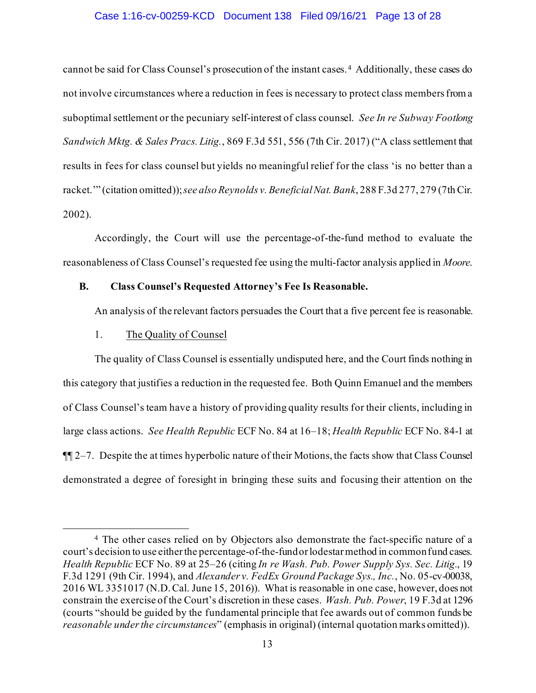## Case 1:16-cv-00259-KCD Document 138 Filed 09/16/21 Page 13 of 28

cannot be said for Class Counsel's prosecution of the instant cases.4 Additionally, these cases do not involve circumstances where a reduction in fees is necessary to protect class membersfrom a suboptimal settlement or the pecuniary self-interest of class counsel. *See In re Subway Footlong Sandwich Mktg. & Sales Pracs. Litig.*, 869 F.3d 551, 556 (7th Cir. 2017) ("A class settlement that results in fees for class counsel but yields no meaningful relief for the class 'is no better than a racket.'" (citation omitted)); *see also Reynolds v. Beneficial Nat. Bank*, 288 F.3d 277, 279 (7th Cir. 2002).

Accordingly, the Court will use the percentage-of-the-fund method to evaluate the reasonableness of Class Counsel's requested fee using the multi-factor analysis applied in *Moore*.

## **B. Class Counsel's Requested Attorney's Fee Is Reasonable.**

An analysis of the relevant factors persuades the Court that a five percent fee is reasonable.

## 1. The Quality of Counsel

The quality of Class Counsel is essentially undisputed here, and the Court finds nothing in this category that justifies a reduction in the requested fee. Both Quinn Emanuel and the members of Class Counsel's team have a history of providing quality results for their clients, including in large class actions. *See Health Republic* ECF No. 84 at 16–18; *Health Republic* ECF No. 84-1 at ¶¶ 2–7. Despite the at times hyperbolic nature of their Motions, the facts show that Class Counsel demonstrated a degree of foresight in bringing these suits and focusing their attention on the

<sup>4</sup> The other cases relied on by Objectors also demonstrate the fact-specific nature of a court's decision to use either the percentage-of-the-fund or lodestar method in common fund cases. *Health Republic* ECF No. 89 at 25–26 (citing *In re Wash. Pub. Power Supply Sys. Sec. Litig.*, 19 F.3d 1291 (9th Cir. 1994), and *Alexander v. FedEx Ground Package Sys., Inc.*, No. 05-cv-00038, 2016 WL 3351017 (N.D. Cal. June 15, 2016)). What is reasonable in one case, however, does not constrain the exercise of the Court's discretion in these cases. *Wash. Pub. Power*, 19 F.3d at 1296 (courts "should be guided by the fundamental principle that fee awards out of common funds be *reasonable under the circumstances*" (emphasis in original) (internal quotation marks omitted)).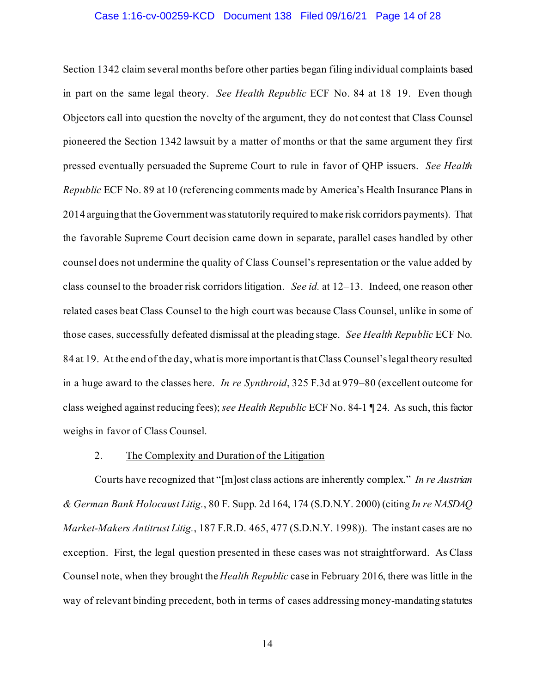### Case 1:16-cv-00259-KCD Document 138 Filed 09/16/21 Page 14 of 28

Section 1342 claim several months before other parties began filing individual complaints based in part on the same legal theory. *See Health Republic* ECF No. 84 at 18–19. Even though Objectors call into question the novelty of the argument, they do not contest that Class Counsel pioneered the Section 1342 lawsuit by a matter of months or that the same argument they first pressed eventually persuaded the Supreme Court to rule in favor of QHP issuers. *See Health Republic* ECF No. 89 at 10 (referencing comments made by America's Health Insurance Plans in 2014 arguing that the Government was statutorily required to make risk corridors payments). That the favorable Supreme Court decision came down in separate, parallel cases handled by other counsel does not undermine the quality of Class Counsel's representation or the value added by class counsel to the broader risk corridors litigation. *See id.* at 12–13. Indeed, one reason other related cases beat Class Counsel to the high court was because Class Counsel, unlike in some of those cases, successfully defeated dismissal at the pleading stage. *See Health Republic* ECF No. 84 at 19. At the end of the day, what is more importantis thatClass Counsel'slegal theory resulted in a huge award to the classes here. *In re Synthroid*, 325 F.3d at 979–80 (excellent outcome for class weighed against reducing fees); *see Health Republic* ECF No. 84-1 ¶ 24. As such, this factor weighs in favor of Class Counsel.

#### 2. The Complexity and Duration of the Litigation

Courts have recognized that "[m]ost class actions are inherently complex." *In re Austrian & German Bank Holocaust Litig.*, 80 F. Supp. 2d 164, 174 (S.D.N.Y. 2000) (citing *In re NASDAQ Market-Makers Antitrust Litig.*, 187 F.R.D. 465, 477 (S.D.N.Y. 1998)). The instant cases are no exception. First, the legal question presented in these cases was not straightforward. As Class Counsel note, when they brought the *Health Republic* case in February 2016, there was little in the way of relevant binding precedent, both in terms of cases addressing money-mandating statutes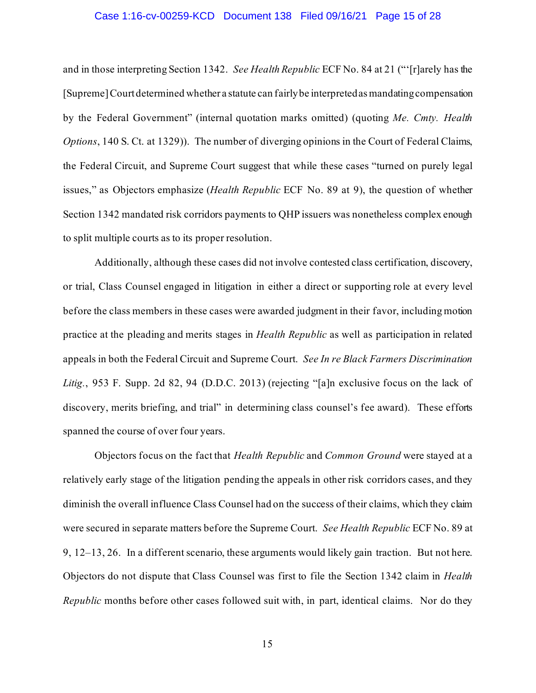#### Case 1:16-cv-00259-KCD Document 138 Filed 09/16/21 Page 15 of 28

and in those interpreting Section 1342. *See Health Republic* ECF No. 84 at 21 ("'[r]arely has the [Supreme] Court determined whether a statute can fairly be interpreted as mandating compensation by the Federal Government" (internal quotation marks omitted) (quoting *Me. Cmty. Health Options*, 140 S. Ct. at 1329)). The number of diverging opinions in the Court of Federal Claims, the Federal Circuit, and Supreme Court suggest that while these cases "turned on purely legal issues," as Objectors emphasize (*Health Republic* ECF No. 89 at 9), the question of whether Section 1342 mandated risk corridors payments to QHP issuers was nonetheless complex enough to split multiple courts as to its proper resolution.

Additionally, although these cases did not involve contested class certification, discovery, or trial, Class Counsel engaged in litigation in either a direct or supporting role at every level before the class members in these cases were awarded judgment in their favor, including motion practice at the pleading and merits stages in *Health Republic* as well as participation in related appeals in both the Federal Circuit and Supreme Court. *See In re Black Farmers Discrimination Litig.*, 953 F. Supp. 2d 82, 94 (D.D.C. 2013) (rejecting "[a]n exclusive focus on the lack of discovery, merits briefing, and trial" in determining class counsel's fee award). These efforts spanned the course of over four years.

Objectors focus on the fact that *Health Republic* and *Common Ground* were stayed at a relatively early stage of the litigation pending the appeals in other risk corridors cases, and they diminish the overall influence Class Counsel had on the success of their claims, which they claim were secured in separate matters before the Supreme Court. *See Health Republic* ECF No. 89 at 9, 12–13, 26. In a different scenario, these arguments would likely gain traction. But not here. Objectors do not dispute that Class Counsel was first to file the Section 1342 claim in *Health Republic* months before other cases followed suit with, in part, identical claims. Nor do they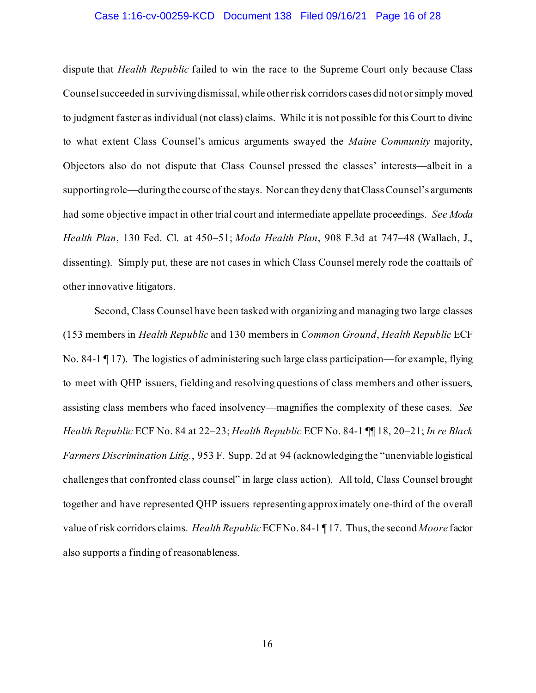#### Case 1:16-cv-00259-KCD Document 138 Filed 09/16/21 Page 16 of 28

dispute that *Health Republic* failed to win the race to the Supreme Court only because Class Counselsucceeded in surviving dismissal, while other risk corridors cases did not or simply moved to judgment faster as individual (not class) claims. While it is not possible for this Court to divine to what extent Class Counsel's amicus arguments swayed the *Maine Community* majority, Objectors also do not dispute that Class Counsel pressed the classes' interests—albeit in a supporting role—during the course of the stays. Nor can they deny that Class Counsel's arguments had some objective impact in other trial court and intermediate appellate proceedings. *See Moda Health Plan*, 130 Fed. Cl. at 450–51; *Moda Health Plan*, 908 F.3d at 747–48 (Wallach, J., dissenting). Simply put, these are not cases in which Class Counsel merely rode the coattails of other innovative litigators.

Second, Class Counsel have been tasked with organizing and managing two large classes (153 members in *Health Republic* and 130 members in *Common Ground*, *Health Republic* ECF No. 84-1 ¶ 17). The logistics of administering such large class participation—for example, flying to meet with QHP issuers, fielding and resolving questions of class members and other issuers, assisting class members who faced insolvency—magnifies the complexity of these cases. *See Health Republic* ECF No. 84 at 22–23; *Health Republic* ECF No. 84-1 ¶¶ 18, 20–21; *In re Black Farmers Discrimination Litig.*, 953 F. Supp. 2d at 94 (acknowledging the "unenviable logistical challenges that confronted class counsel" in large class action). All told, Class Counsel brought together and have represented QHP issuers representing approximately one-third of the overall value of risk corridors claims. *Health Republic* ECF No. 84-1 ¶ 17. Thus, the second *Moore* factor also supports a finding of reasonableness.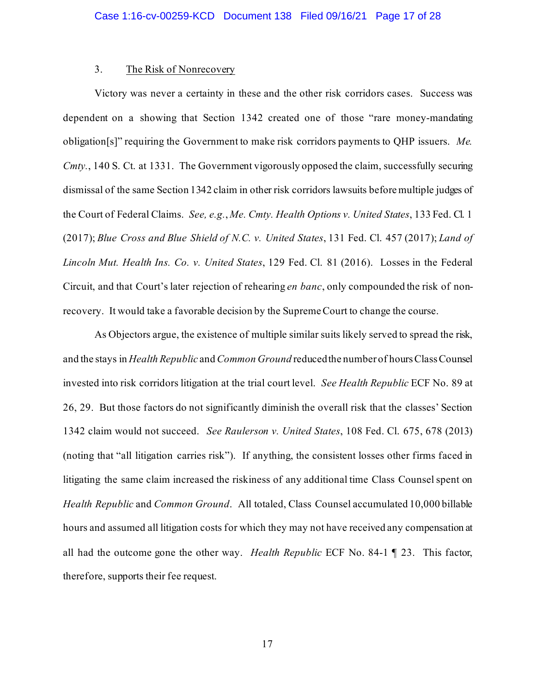## 3. The Risk of Nonrecovery

Victory was never a certainty in these and the other risk corridors cases. Success was dependent on a showing that Section 1342 created one of those "rare money-mandating obligation[s]" requiring the Government to make risk corridors payments to QHP issuers. *Me. Cmty.*, 140 S. Ct. at 1331. The Government vigorously opposed the claim, successfully securing dismissal of the same Section 1342 claim in other risk corridors lawsuits before multiple judges of the Court of Federal Claims. *See, e.g.*, *Me. Cmty. Health Options v. United States*, 133 Fed. Cl. 1 (2017); *Blue Cross and Blue Shield of N.C. v. United States*, 131 Fed. Cl. 457 (2017); *Land of Lincoln Mut. Health Ins. Co. v. United States*, 129 Fed. Cl. 81 (2016). Losses in the Federal Circuit, and that Court's later rejection of rehearing *en banc*, only compounded the risk of nonrecovery. It would take a favorable decision by the Supreme Court to change the course.

As Objectors argue, the existence of multiple similar suits likely served to spread the risk, and the stays in *Health Republic* and *Common Ground* reducedthe number of hours Class Counsel invested into risk corridors litigation at the trial court level. *See Health Republic* ECF No. 89 at 26, 29. But those factors do not significantly diminish the overall risk that the classes' Section 1342 claim would not succeed. *See Raulerson v. United States*, 108 Fed. Cl. 675, 678 (2013) (noting that "all litigation carries risk"). If anything, the consistent losses other firms faced in litigating the same claim increased the riskiness of any additional time Class Counsel spent on *Health Republic* and *Common Ground*. All totaled, Class Counsel accumulated 10,000 billable hours and assumed all litigation costs for which they may not have received any compensation at all had the outcome gone the other way. *Health Republic* ECF No. 84-1 ¶ 23. This factor, therefore, supports their fee request.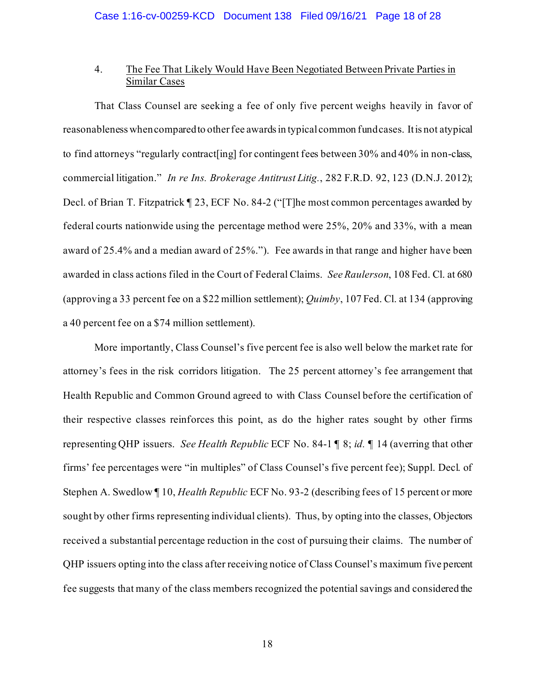## 4. The Fee That Likely Would Have Been Negotiated Between Private Parties in Similar Cases

That Class Counsel are seeking a fee of only five percent weighs heavily in favor of reasonablenesswhen compared to other fee awardsin typical common fund cases. It is not atypical to find attorneys "regularly contract[ing] for contingent fees between 30% and 40% in non-class, commercial litigation." *In re Ins. Brokerage Antitrust Litig.*, 282 F.R.D. 92, 123 (D.N.J. 2012); Decl. of Brian T. Fitzpatrick ¶ 23, ECF No. 84-2 ("[T]he most common percentages awarded by federal courts nationwide using the percentage method were 25%, 20% and 33%, with a mean award of 25.4% and a median award of 25%."). Fee awards in that range and higher have been awarded in class actions filed in the Court of Federal Claims. *See Raulerson*, 108 Fed. Cl. at 680 (approving a 33 percent fee on a \$22 million settlement); *Quimby*, 107 Fed. Cl. at 134 (approving a 40 percent fee on a \$74 million settlement).

More importantly, Class Counsel's five percent fee is also well below the market rate for attorney's fees in the risk corridors litigation. The 25 percent attorney's fee arrangement that Health Republic and Common Ground agreed to with Class Counsel before the certification of their respective classes reinforces this point, as do the higher rates sought by other firms representing QHP issuers. *See Health Republic* ECF No. 84-1 ¶ 8; *id.* ¶ 14 (averring that other firms' fee percentages were "in multiples" of Class Counsel's five percent fee); Suppl. Decl. of Stephen A. Swedlow ¶ 10, *Health Republic* ECF No. 93-2 (describing fees of 15 percent or more sought by other firms representing individual clients). Thus, by opting into the classes, Objectors received a substantial percentage reduction in the cost of pursuing their claims. The number of QHP issuers opting into the class after receiving notice of Class Counsel's maximum five percent fee suggests that many of the class members recognized the potential savings and considered the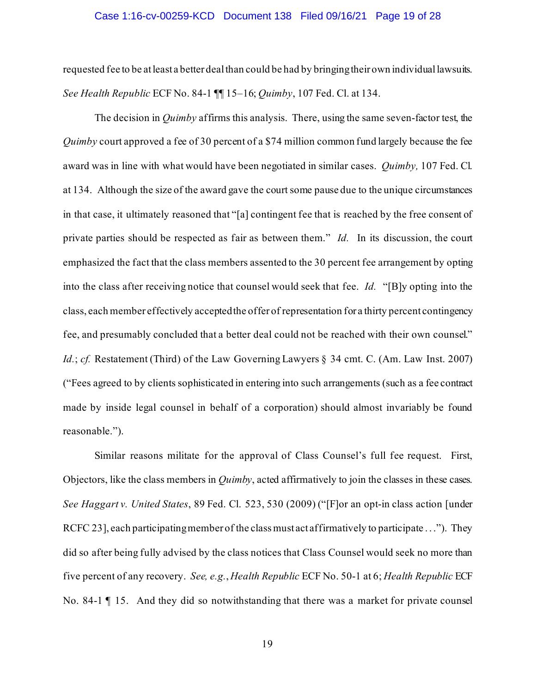#### Case 1:16-cv-00259-KCD Document 138 Filed 09/16/21 Page 19 of 28

requested fee to be at least a better deal than could be had by bringing their own individual lawsuits. *See Health Republic* ECF No. 84-1 ¶¶ 15–16; *Quimby*, 107 Fed. Cl. at 134.

The decision in *Quimby* affirms this analysis. There, using the same seven-factor test, the *Quimby* court approved a fee of 30 percent of a \$74 million common fund largely because the fee award was in line with what would have been negotiated in similar cases. *Quimby,* 107 Fed. Cl. at 134. Although the size of the award gave the court some pause due to the unique circumstances in that case, it ultimately reasoned that "[a] contingent fee that is reached by the free consent of private parties should be respected as fair as between them." *Id.* In its discussion, the court emphasized the fact that the class members assented to the 30 percent fee arrangement by opting into the class after receiving notice that counsel would seek that fee. *Id.* "[B]y opting into the class, each member effectively accepted the offer of representation for a thirty percent contingency fee, and presumably concluded that a better deal could not be reached with their own counsel." *Id.*; *cf.* Restatement (Third) of the Law Governing Lawyers § 34 cmt. C. (Am. Law Inst. 2007) ("Fees agreed to by clients sophisticated in entering into such arrangements (such as a fee contract made by inside legal counsel in behalf of a corporation) should almost invariably be found reasonable.").

Similar reasons militate for the approval of Class Counsel's full fee request. First, Objectors, like the class members in *Quimby*, acted affirmatively to join the classes in these cases. *See Haggart v. United States*, 89 Fed. Cl. 523, 530 (2009) ("[F]or an opt-in class action [under RCFC 23], each participating member of the class must act affirmatively to participate . . ."). They did so after being fully advised by the class notices that Class Counsel would seek no more than five percent of any recovery. *See, e.g.*, *Health Republic* ECF No. 50-1 at 6; *Health Republic* ECF No. 84-1 ¶ 15. And they did so notwithstanding that there was a market for private counsel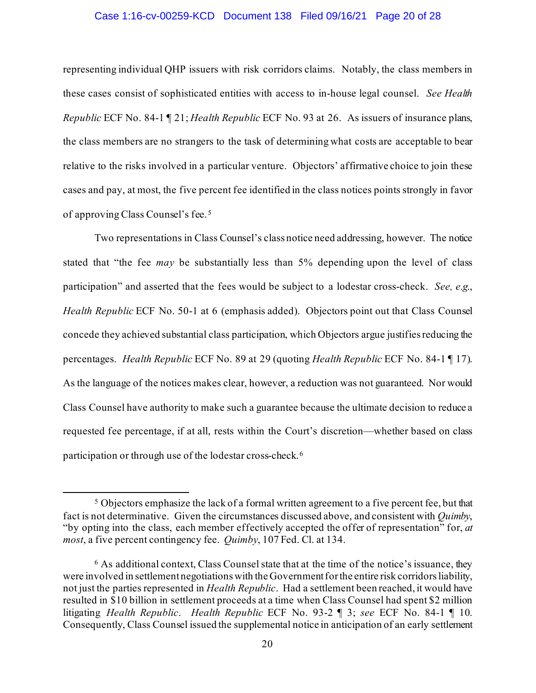## Case 1:16-cv-00259-KCD Document 138 Filed 09/16/21 Page 20 of 28

representing individual QHP issuers with risk corridors claims. Notably, the class members in these cases consist of sophisticated entities with access to in-house legal counsel. *See Health Republic* ECF No. 84-1 ¶ 21; *Health Republic* ECF No. 93 at 26. As issuers of insurance plans, the class members are no strangers to the task of determining what costs are acceptable to bear relative to the risks involved in a particular venture. Objectors' affirmative choice to join these cases and pay, at most, the five percent fee identified in the class notices points strongly in favor of approving Class Counsel's fee. 5

Two representations in Class Counsel's class notice need addressing, however. The notice stated that "the fee *may* be substantially less than 5% depending upon the level of class participation" and asserted that the fees would be subject to a lodestar cross-check. *See, e.g.*, *Health Republic* ECF No. 50-1 at 6 (emphasis added). Objectors point out that Class Counsel concede they achieved substantial class participation, which Objectors argue justifies reducing the percentages. *Health Republic* ECF No. 89 at 29 (quoting *Health Republic* ECF No. 84-1 ¶ 17). As the language of the notices makes clear, however, a reduction was not guaranteed. Nor would Class Counsel have authority to make such a guarantee because the ultimate decision to reduce a requested fee percentage, if at all, rests within the Court's discretion—whether based on class participation or through use of the lodestar cross-check.<sup>6</sup>

 $5$  Objectors emphasize the lack of a formal written agreement to a five percent fee, but that fact is not determinative. Given the circumstances discussed above, and consistent with *Quimby*, "by opting into the class, each member effectively accepted the offer of representation" for, *at most*, a five percent contingency fee. *Quimby*, 107 Fed. Cl. at 134.

 $6$  As additional context, Class Counsel state that at the time of the notice's issuance, they were involved in settlement negotiations with the Government for the entire risk corridors liability, not just the parties represented in *Health Republic*. Had a settlement been reached, it would have resulted in \$10 billion in settlement proceeds at a time when Class Counsel had spent \$2 million litigating *Health Republic*. *Health Republic* ECF No. 93-2 ¶ 3; *see* ECF No. 84-1 ¶ 10. Consequently, Class Counsel issued the supplemental notice in anticipation of an early settlement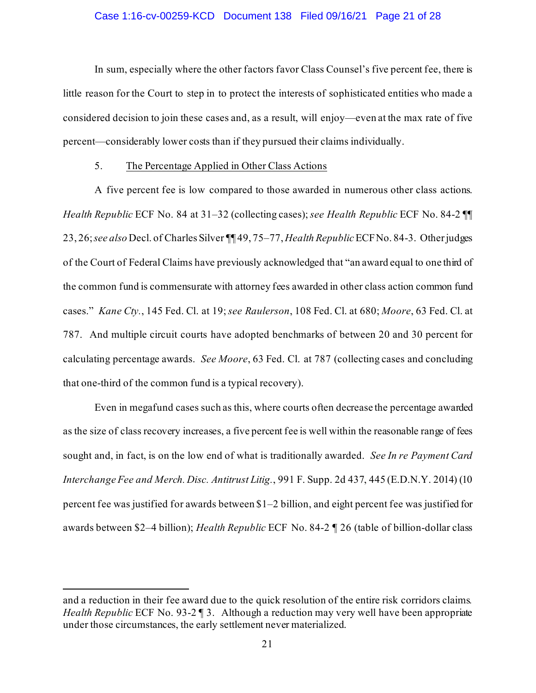### Case 1:16-cv-00259-KCD Document 138 Filed 09/16/21 Page 21 of 28

In sum, especially where the other factors favor Class Counsel's five percent fee, there is little reason for the Court to step in to protect the interests of sophisticated entities who made a considered decision to join these cases and, as a result, will enjoy—even at the max rate of five percent—considerably lower costs than if they pursued their claims individually.

#### 5. The Percentage Applied in Other Class Actions

A five percent fee is low compared to those awarded in numerous other class actions. *Health Republic* ECF No. 84 at 31–32 (collecting cases); *see Health Republic* ECF No. 84-2 ¶¶ 23, 26; *see also* Decl. of Charles Silver ¶¶ 49, 75–77, *Health Republic* ECF No. 84-3. Other judges of the Court of Federal Claims have previously acknowledged that "an award equal to one third of the common fund is commensurate with attorney fees awarded in other class action common fund cases." *Kane Cty.*, 145 Fed. Cl. at 19; *see Raulerson*, 108 Fed. Cl. at 680; *Moore*, 63 Fed. Cl. at 787. And multiple circuit courts have adopted benchmarks of between 20 and 30 percent for calculating percentage awards. *See Moore*, 63 Fed. Cl. at 787 (collecting cases and concluding that one-third of the common fund is a typical recovery).

Even in megafund cases such as this, where courts often decrease the percentage awarded as the size of class recovery increases, a five percent fee is well within the reasonable range of fees sought and, in fact, is on the low end of what is traditionally awarded. *See In re Payment Card Interchange Fee and Merch. Disc. Antitrust Litig.*, 991 F. Supp. 2d 437, 445 (E.D.N.Y. 2014) (10 percent fee was justified for awards between \$1–2 billion, and eight percent fee was justified for awards between \$2–4 billion); *Health Republic* ECF No. 84-2 ¶ 26 (table of billion-dollar class

and a reduction in their fee award due to the quick resolution of the entire risk corridors claims*. Health Republic* ECF No. 93-2 ¶ 3. Although a reduction may very well have been appropriate under those circumstances, the early settlement never materialized.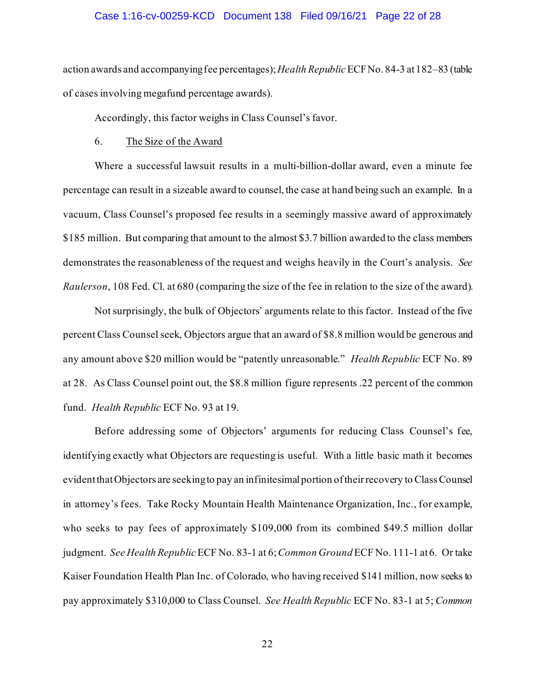### Case 1:16-cv-00259-KCD Document 138 Filed 09/16/21 Page 22 of 28

action awards and accompanying fee percentages); *Health Republic* ECF No. 84-3 at182–83 (table of cases involving megafund percentage awards).

Accordingly, this factor weighs in Class Counsel's favor.

#### 6. The Size of the Award

Where a successful lawsuit results in a multi-billion-dollar award, even a minute fee percentage can result in a sizeable award to counsel, the case at hand being such an example. In a vacuum, Class Counsel's proposed fee results in a seemingly massive award of approximately \$185 million. But comparing that amount to the almost \$3.7 billion awarded to the class members demonstrates the reasonableness of the request and weighs heavily in the Court's analysis. *See Raulerson*, 108 Fed. Cl. at 680 (comparing the size of the fee in relation to the size of the award).

Not surprisingly, the bulk of Objectors' arguments relate to this factor. Instead of the five percent Class Counsel seek, Objectors argue that an award of \$8.8 million would be generous and any amount above \$20 million would be "patently unreasonable." *Health Republic* ECF No. 89 at 28. As Class Counsel point out, the \$8.8 million figure represents .22 percent of the common fund. *Health Republic* ECF No. 93 at 19.

Before addressing some of Objectors' arguments for reducing Class Counsel's fee, identifying exactly what Objectors are requesting is useful. With a little basic math it becomes evident that Objectors are seeking to pay an infinitesimal portion of their recovery to Class Counsel in attorney's fees. Take Rocky Mountain Health Maintenance Organization, Inc., for example, who seeks to pay fees of approximately \$109,000 from its combined \$49.5 million dollar judgment. *See Health Republic* ECF No. 83-1 at 6;*Common Ground* ECF No. 111-1 at 6. Or take Kaiser Foundation Health Plan Inc. of Colorado, who having received \$141 million, now seeks to pay approximately \$310,000 to Class Counsel. *See Health Republic* ECF No. 83-1 at 5; *Common*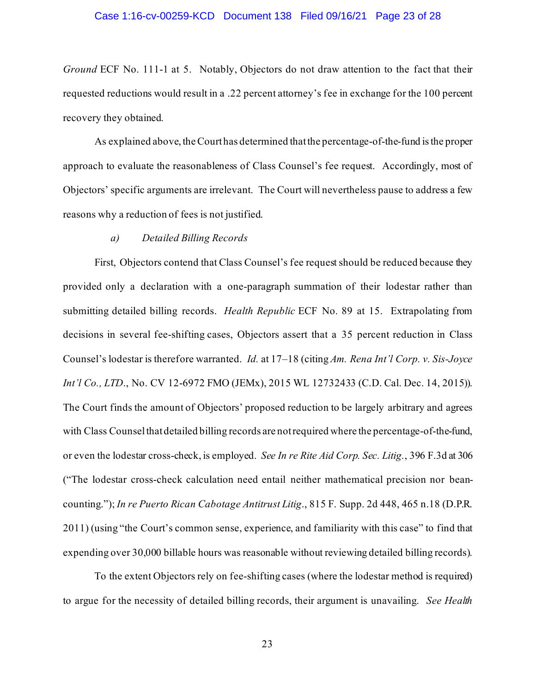#### Case 1:16-cv-00259-KCD Document 138 Filed 09/16/21 Page 23 of 28

*Ground* ECF No. 111-1 at 5. Notably, Objectors do not draw attention to the fact that their requested reductions would result in a .22 percent attorney's fee in exchange for the 100 percent recovery they obtained.

As explained above, the Court has determined that the percentage-of-the-fund is the proper approach to evaluate the reasonableness of Class Counsel's fee request. Accordingly, most of Objectors' specific arguments are irrelevant. The Court will nevertheless pause to address a few reasons why a reduction of fees is not justified.

## *a) Detailed Billing Records*

First, Objectors contend that Class Counsel's fee request should be reduced because they provided only a declaration with a one-paragraph summation of their lodestar rather than submitting detailed billing records. *Health Republic* ECF No. 89 at 15. Extrapolating from decisions in several fee-shifting cases, Objectors assert that a 35 percent reduction in Class Counsel's lodestar is therefore warranted. *Id.* at 17–18 (citing *Am. Rena Int'l Corp. v. Sis-Joyce Int'l Co., LTD.*, No. CV 12-6972 FMO (JEMx), 2015 WL 12732433 (C.D. Cal. Dec. 14, 2015)). The Court finds the amount of Objectors' proposed reduction to be largely arbitrary and agrees with Class Counsel that detailed billing records are not required where the percentage-of-the-fund, or even the lodestar cross-check, is employed. *See In re Rite Aid Corp. Sec. Litig.*, 396 F.3d at 306 ("The lodestar cross-check calculation need entail neither mathematical precision nor beancounting."); *In re Puerto Rican Cabotage Antitrust Litig*., 815 F. Supp. 2d 448, 465 n.18 (D.P.R. 2011) (using "the Court's common sense, experience, and familiarity with this case" to find that expending over 30,000 billable hours was reasonable without reviewing detailed billing records).

To the extent Objectors rely on fee-shifting cases (where the lodestar method is required) to argue for the necessity of detailed billing records, their argument is unavailing. *See Health*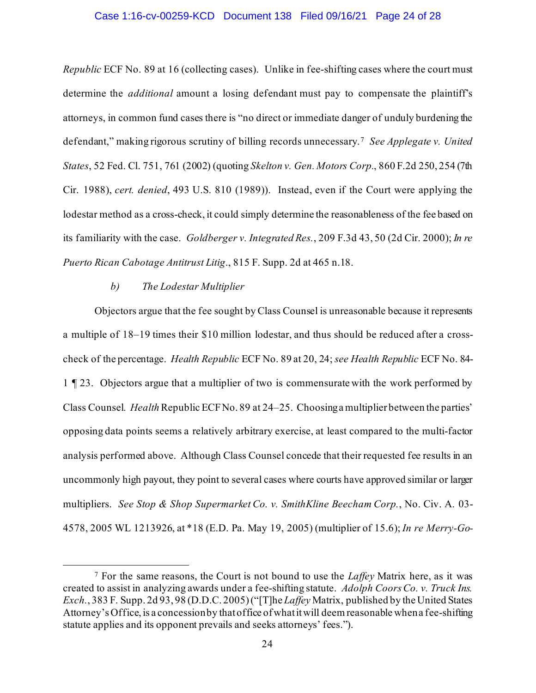## Case 1:16-cv-00259-KCD Document 138 Filed 09/16/21 Page 24 of 28

*Republic* ECF No. 89 at 16 (collecting cases). Unlike in fee-shifting cases where the court must determine the *additional* amount a losing defendant must pay to compensate the plaintiff's attorneys, in common fund cases there is "no direct or immediate danger of unduly burdening the defendant," making rigorous scrutiny of billing records unnecessary.7 *See Applegate v. United States*, 52 Fed. Cl. 751, 761 (2002) (quoting *Skelton v. Gen. Motors Corp.*, 860 F.2d 250, 254 (7th Cir. 1988), *cert. denied*, 493 U.S. 810 (1989)). Instead, even if the Court were applying the lodestar method as a cross-check, it could simply determine the reasonableness of the fee based on its familiarity with the case. *Goldberger v. Integrated Res.*, 209 F.3d 43, 50 (2d Cir. 2000); *In re Puerto Rican Cabotage Antitrust Litig*., 815 F. Supp. 2d at 465 n.18.

### *b) The Lodestar Multiplier*

Objectors argue that the fee sought by Class Counsel is unreasonable because it represents a multiple of 18–19 times their \$10 million lodestar, and thus should be reduced after a crosscheck of the percentage. *Health Republic* ECF No. 89 at 20, 24; *see Health Republic* ECF No. 84- 1 ¶ 23. Objectors argue that a multiplier of two is commensurate with the work performed by Class Counsel*. Health* Republic ECF No. 89 at 24–25. Choosing a multiplier between the parties' opposing data points seems a relatively arbitrary exercise, at least compared to the multi-factor analysis performed above. Although Class Counsel concede that their requested fee results in an uncommonly high payout, they point to several cases where courts have approved similar or larger multipliers. *See Stop & Shop Supermarket Co. v. SmithKline Beecham Corp.*, No. Civ. A. 03- 4578, 2005 WL 1213926, at \*18 (E.D. Pa. May 19, 2005) (multiplier of 15.6); *In re Merry-Go-*

<sup>7</sup> For the same reasons, the Court is not bound to use the *Laffey* Matrix here, as it was created to assist in analyzing awards under a fee-shifting statute. *Adolph Coors Co. v. Truck Ins. Exch.*, 383 F. Supp. 2d 93, 98 (D.D.C. 2005) ("[T]he *Laffey* Matrix, published by the United States Attorney's Office, is a concession by that office of what it will deem reasonable when a fee-shifting statute applies and its opponent prevails and seeks attorneys' fees.").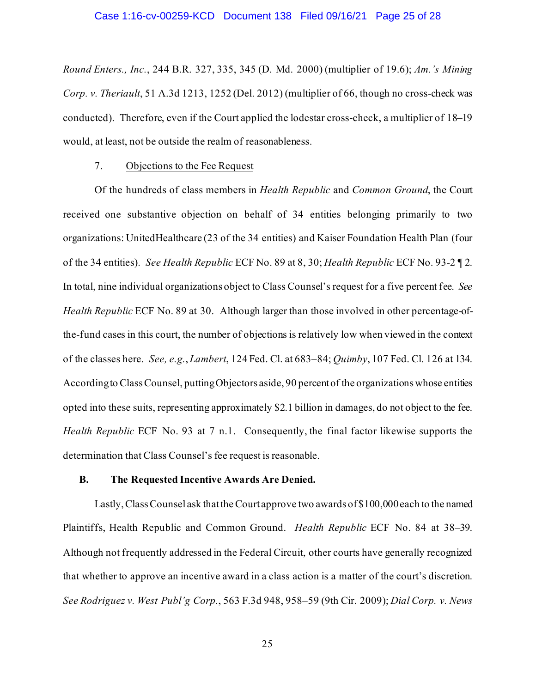*Round Enters., Inc.*, 244 B.R. 327, 335, 345 (D. Md. 2000) (multiplier of 19.6); *Am.'s Mining Corp. v. Theriault*, 51 A.3d 1213, 1252 (Del. 2012) (multiplier of 66, though no cross-check was conducted). Therefore, even if the Court applied the lodestar cross-check, a multiplier of 18–19 would, at least, not be outside the realm of reasonableness.

## 7. Objections to the Fee Request

Of the hundreds of class members in *Health Republic* and *Common Ground*, the Court received one substantive objection on behalf of 34 entities belonging primarily to two organizations: UnitedHealthcare (23 of the 34 entities) and Kaiser Foundation Health Plan (four of the 34 entities). *See Health Republic* ECF No. 89 at 8, 30; *Health Republic* ECF No. 93-2 ¶ 2. In total, nine individual organizations object to Class Counsel's request for a five percent fee. *See Health Republic* ECF No. 89 at 30. Although larger than those involved in other percentage-ofthe-fund cases in this court, the number of objections is relatively low when viewed in the context of the classes here. *See, e.g.*, *Lambert*, 124 Fed. Cl. at 683–84; *Quimby*, 107 Fed. Cl. 126 at 134. According to Class Counsel, putting Objectors aside, 90 percent of the organizations whose entities opted into these suits, representing approximately \$2.1 billion in damages, do not object to the fee. *Health Republic* ECF No. 93 at 7 n.1. Consequently, the final factor likewise supports the determination that Class Counsel's fee request is reasonable.

## **B. The Requested Incentive Awards Are Denied.**

Lastly, Class Counsel ask that the Court approve two awards of \$100,000 each to the named Plaintiffs, Health Republic and Common Ground. *Health Republic* ECF No. 84 at 38–39. Although not frequently addressed in the Federal Circuit, other courts have generally recognized that whether to approve an incentive award in a class action is a matter of the court's discretion. *See Rodriguez v. West Publ'g Corp.*, 563 F.3d 948, 958–59 (9th Cir. 2009); *Dial Corp. v. News*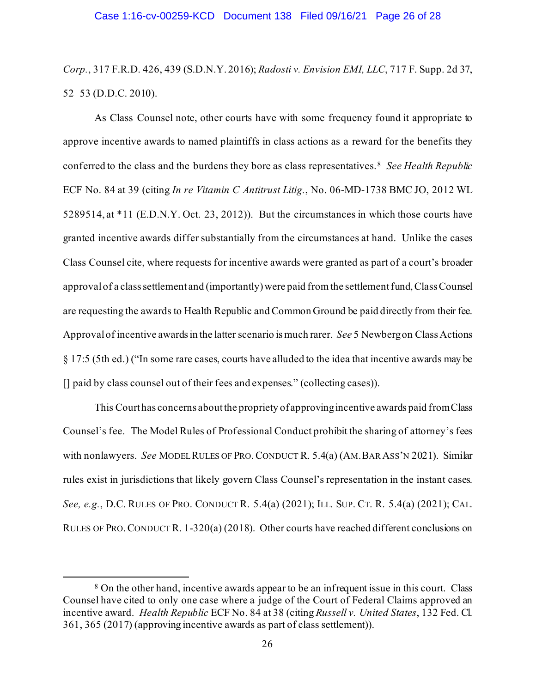*Corp.*, 317 F.R.D. 426, 439 (S.D.N.Y. 2016); *Radosti v. Envision EMI, LLC*, 717 F. Supp. 2d 37, 52–53 (D.D.C. 2010).

As Class Counsel note, other courts have with some frequency found it appropriate to approve incentive awards to named plaintiffs in class actions as a reward for the benefits they conferred to the class and the burdens they bore as class representatives.8 *See Health Republic*  ECF No. 84 at 39 (citing *In re Vitamin C Antitrust Litig.*, No. 06-MD-1738 BMC JO, 2012 WL 5289514, at \*11 (E.D.N.Y. Oct. 23, 2012)). But the circumstances in which those courts have granted incentive awards differ substantially from the circumstances at hand. Unlike the cases Class Counsel cite, where requests for incentive awards were granted as part of a court's broader approval of a class settlement and (importantly) were paid from the settlement fund, Class Counsel are requesting the awards to Health Republic and Common Ground be paid directly from their fee. Approval of incentive awards in the latter scenario is much rarer. *See* 5 Newberg on Class Actions § 17:5 (5th ed.) ("In some rare cases, courts have alluded to the idea that incentive awards may be [] paid by class counsel out of their fees and expenses." (collecting cases)).

This Court has concerns about the propriety of approving incentive awards paid from Class Counsel's fee. The Model Rules of Professional Conduct prohibit the sharing of attorney's fees with nonlawyers. *See* MODEL RULES OF PRO.CONDUCT R. 5.4(a) (AM.BAR ASS'N 2021). Similar rules exist in jurisdictions that likely govern Class Counsel's representation in the instant cases. *See, e.g.*, D.C. RULES OF PRO. CONDUCT R. 5.4(a) (2021); ILL. SUP. CT. R. 5.4(a) (2021); CAL. RULES OF PRO.CONDUCT R. 1-320(a) (2018). Other courts have reached different conclusions on

<sup>&</sup>lt;sup>8</sup> On the other hand, incentive awards appear to be an infrequent issue in this court. Class Counsel have cited to only one case where a judge of the Court of Federal Claims approved an incentive award. *Health Republic* ECF No. 84 at 38 (citing *Russell v. United States*, 132 Fed. Cl. 361, 365 (2017) (approving incentive awards as part of class settlement)).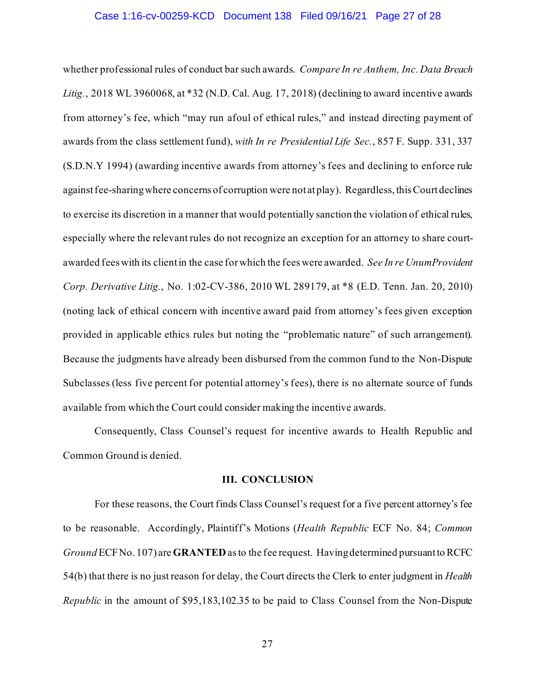#### Case 1:16-cv-00259-KCD Document 138 Filed 09/16/21 Page 27 of 28

whether professional rules of conduct bar such awards. *Compare In re Anthem, Inc. Data Breach Litig.*, 2018 WL 3960068, at \*32 (N.D. Cal. Aug. 17, 2018) (declining to award incentive awards from attorney's fee, which "may run afoul of ethical rules," and instead directing payment of awards from the class settlement fund), *with In re Presidential Life Sec.*, 857 F. Supp. 331, 337 (S.D.N.Y 1994) (awarding incentive awards from attorney's fees and declining to enforce rule against fee-sharing where concerns of corruption were not at play). Regardless, this Court declines to exercise its discretion in a manner that would potentially sanction the violation of ethical rules, especially where the relevant rules do not recognize an exception for an attorney to share courtawarded fees with its clientin the case forwhich the fees were awarded. *See In re UnumProvident Corp. Derivative Litig.*, No. 1:02-CV-386, 2010 WL 289179, at \*8 (E.D. Tenn. Jan. 20, 2010) (noting lack of ethical concern with incentive award paid from attorney's fees given exception provided in applicable ethics rules but noting the "problematic nature" of such arrangement). Because the judgments have already been disbursed from the common fund to the Non-Dispute Subclasses (less five percent for potential attorney's fees), there is no alternate source of funds available from which the Court could consider making the incentive awards.

Consequently, Class Counsel's request for incentive awards to Health Republic and Common Ground is denied.

## **III. CONCLUSION**

For these reasons, the Court finds Class Counsel's request for a five percent attorney's fee to be reasonable. Accordingly, Plaintiff's Motions (*Health Republic* ECF No. 84; *Common Ground* ECF No. 107) are **GRANTED**as to the fee request. Having determined pursuant to RCFC 54(b) that there is no just reason for delay, the Court directs the Clerk to enter judgment in *Health Republic* in the amount of \$95,183,102.35 to be paid to Class Counsel from the Non-Dispute